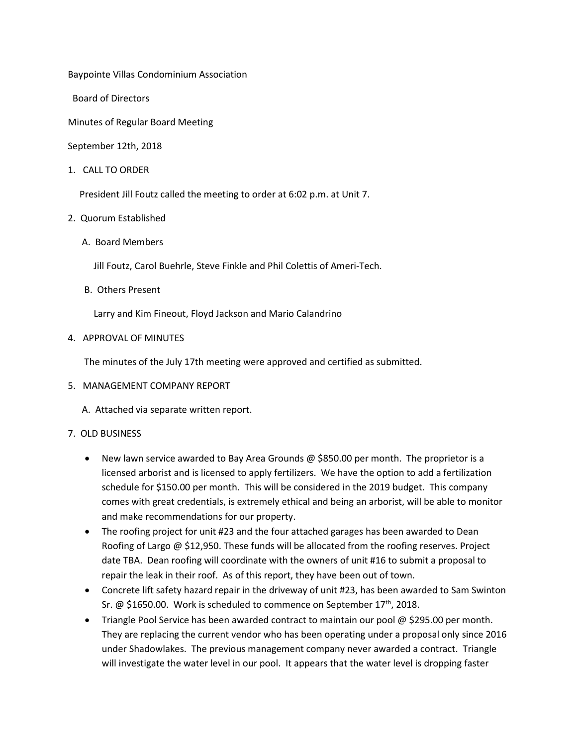Baypointe Villas Condominium Association

Board of Directors

Minutes of Regular Board Meeting

September 12th, 2018

1. CALL TO ORDER

President Jill Foutz called the meeting to order at 6:02 p.m. at Unit 7.

- 2. Quorum Established
	- A. Board Members

Jill Foutz, Carol Buehrle, Steve Finkle and Phil Colettis of Ameri-Tech.

B. Others Present

Larry and Kim Fineout, Floyd Jackson and Mario Calandrino

4. APPROVAL OF MINUTES

The minutes of the July 17th meeting were approved and certified as submitted.

5. MANAGEMENT COMPANY REPORT

A. Attached via separate written report.

#### 7. OLD BUSINESS

- New lawn service awarded to Bay Area Grounds @ \$850.00 per month. The proprietor is a licensed arborist and is licensed to apply fertilizers. We have the option to add a fertilization schedule for \$150.00 per month. This will be considered in the 2019 budget. This company comes with great credentials, is extremely ethical and being an arborist, will be able to monitor and make recommendations for our property.
- The roofing project for unit #23 and the four attached garages has been awarded to Dean Roofing of Largo @ \$12,950. These funds will be allocated from the roofing reserves. Project date TBA. Dean roofing will coordinate with the owners of unit #16 to submit a proposal to repair the leak in their roof. As of this report, they have been out of town.
- Concrete lift safety hazard repair in the driveway of unit #23, has been awarded to Sam Swinton Sr.  $\omega$  \$1650.00. Work is scheduled to commence on September 17<sup>th</sup>, 2018.
- Triangle Pool Service has been awarded contract to maintain our pool @ \$295.00 per month. They are replacing the current vendor who has been operating under a proposal only since 2016 under Shadowlakes. The previous management company never awarded a contract. Triangle will investigate the water level in our pool. It appears that the water level is dropping faster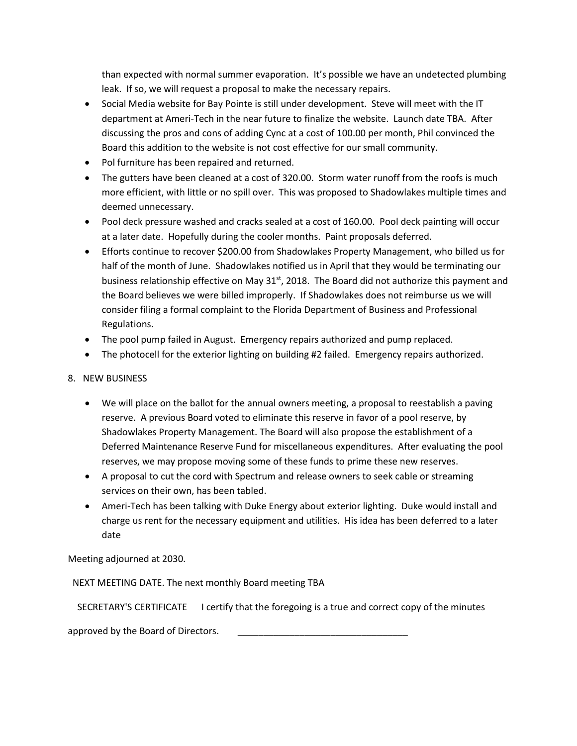than expected with normal summer evaporation. It's possible we have an undetected plumbing leak. If so, we will request a proposal to make the necessary repairs.

- Social Media website for Bay Pointe is still under development. Steve will meet with the IT department at Ameri-Tech in the near future to finalize the website. Launch date TBA. After discussing the pros and cons of adding Cync at a cost of 100.00 per month, Phil convinced the Board this addition to the website is not cost effective for our small community.
- Pol furniture has been repaired and returned.
- The gutters have been cleaned at a cost of 320.00. Storm water runoff from the roofs is much more efficient, with little or no spill over. This was proposed to Shadowlakes multiple times and deemed unnecessary.
- Pool deck pressure washed and cracks sealed at a cost of 160.00. Pool deck painting will occur at a later date. Hopefully during the cooler months. Paint proposals deferred.
- Efforts continue to recover \$200.00 from Shadowlakes Property Management, who billed us for half of the month of June. Shadowlakes notified us in April that they would be terminating our business relationship effective on May  $31<sup>st</sup>$ , 2018. The Board did not authorize this payment and the Board believes we were billed improperly. If Shadowlakes does not reimburse us we will consider filing a formal complaint to the Florida Department of Business and Professional Regulations.
- The pool pump failed in August. Emergency repairs authorized and pump replaced.
- The photocell for the exterior lighting on building #2 failed. Emergency repairs authorized.

# 8. NEW BUSINESS

- We will place on the ballot for the annual owners meeting, a proposal to reestablish a paving reserve. A previous Board voted to eliminate this reserve in favor of a pool reserve, by Shadowlakes Property Management. The Board will also propose the establishment of a Deferred Maintenance Reserve Fund for miscellaneous expenditures. After evaluating the pool reserves, we may propose moving some of these funds to prime these new reserves.
- A proposal to cut the cord with Spectrum and release owners to seek cable or streaming services on their own, has been tabled.
- Ameri-Tech has been talking with Duke Energy about exterior lighting. Duke would install and charge us rent for the necessary equipment and utilities. His idea has been deferred to a later date

Meeting adjourned at 2030.

NEXT MEETING DATE. The next monthly Board meeting TBA

SECRETARY'S CERTIFICATE I certify that the foregoing is a true and correct copy of the minutes

approved by the Board of Directors.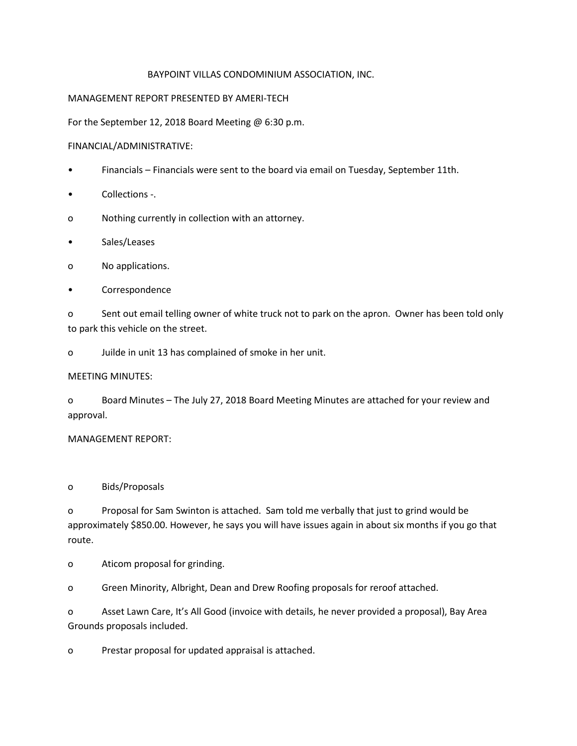### BAYPOINT VILLAS CONDOMINIUM ASSOCIATION, INC.

### MANAGEMENT REPORT PRESENTED BY AMERI-TECH

For the September 12, 2018 Board Meeting @ 6:30 p.m.

## FINANCIAL/ADMINISTRATIVE:

- Financials Financials were sent to the board via email on Tuesday, September 11th.
- Collections -.
- o Nothing currently in collection with an attorney.
- Sales/Leases
- o No applications.
- **Correspondence**

o Sent out email telling owner of white truck not to park on the apron. Owner has been told only to park this vehicle on the street.

o Juilde in unit 13 has complained of smoke in her unit.

# MEETING MINUTES:

o Board Minutes – The July 27, 2018 Board Meeting Minutes are attached for your review and approval.

# MANAGEMENT REPORT:

o Bids/Proposals

o Proposal for Sam Swinton is attached. Sam told me verbally that just to grind would be approximately \$850.00. However, he says you will have issues again in about six months if you go that route.

o Aticom proposal for grinding.

o Green Minority, Albright, Dean and Drew Roofing proposals for reroof attached.

o Asset Lawn Care, It's All Good (invoice with details, he never provided a proposal), Bay Area Grounds proposals included.

o Prestar proposal for updated appraisal is attached.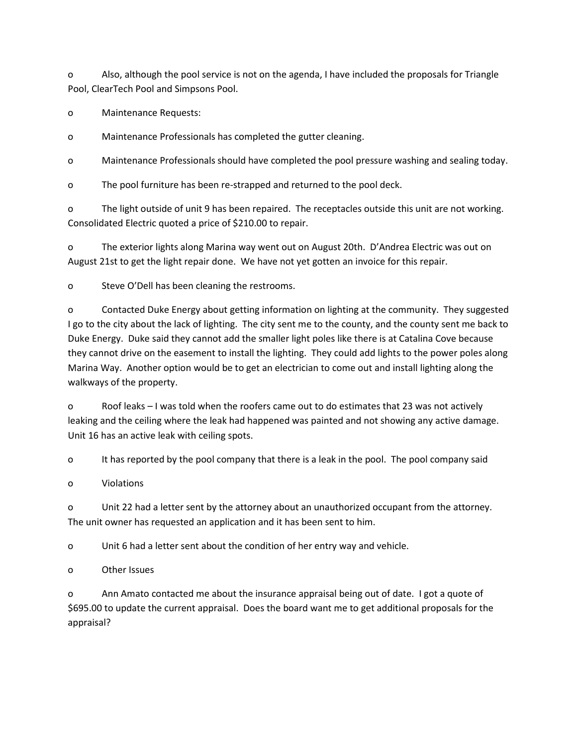o Also, although the pool service is not on the agenda, I have included the proposals for Triangle Pool, ClearTech Pool and Simpsons Pool.

o Maintenance Requests:

o Maintenance Professionals has completed the gutter cleaning.

o Maintenance Professionals should have completed the pool pressure washing and sealing today.

o The pool furniture has been re-strapped and returned to the pool deck.

o The light outside of unit 9 has been repaired. The receptacles outside this unit are not working. Consolidated Electric quoted a price of \$210.00 to repair.

o The exterior lights along Marina way went out on August 20th. D'Andrea Electric was out on August 21st to get the light repair done. We have not yet gotten an invoice for this repair.

o Steve O'Dell has been cleaning the restrooms.

o Contacted Duke Energy about getting information on lighting at the community. They suggested I go to the city about the lack of lighting. The city sent me to the county, and the county sent me back to Duke Energy. Duke said they cannot add the smaller light poles like there is at Catalina Cove because they cannot drive on the easement to install the lighting. They could add lights to the power poles along Marina Way. Another option would be to get an electrician to come out and install lighting along the walkways of the property.

o Roof leaks – I was told when the roofers came out to do estimates that 23 was not actively leaking and the ceiling where the leak had happened was painted and not showing any active damage. Unit 16 has an active leak with ceiling spots.

o It has reported by the pool company that there is a leak in the pool. The pool company said

o Violations

o Unit 22 had a letter sent by the attorney about an unauthorized occupant from the attorney. The unit owner has requested an application and it has been sent to him.

o Unit 6 had a letter sent about the condition of her entry way and vehicle.

o Other Issues

o Ann Amato contacted me about the insurance appraisal being out of date. I got a quote of \$695.00 to update the current appraisal. Does the board want me to get additional proposals for the appraisal?